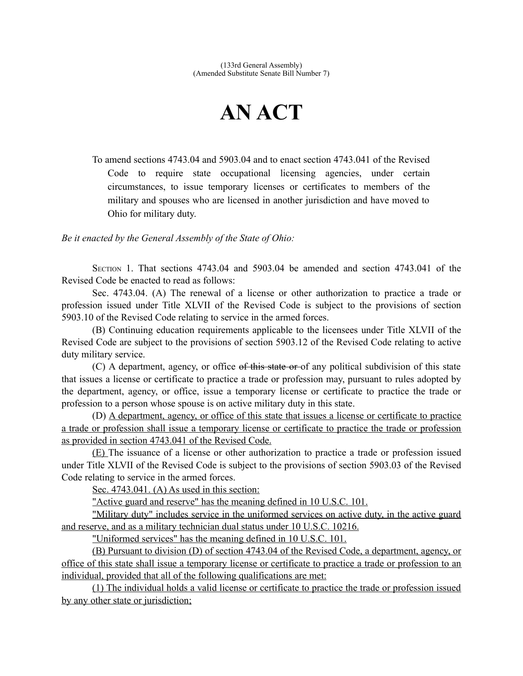## **AN ACT**

To amend sections 4743.04 and 5903.04 and to enact section 4743.041 of the Revised Code to require state occupational licensing agencies, under certain circumstances, to issue temporary licenses or certificates to members of the military and spouses who are licensed in another jurisdiction and have moved to Ohio for military duty.

*Be it enacted by the General Assembly of the State of Ohio:*

SECTION 1. That sections 4743.04 and 5903.04 be amended and section 4743.041 of the Revised Code be enacted to read as follows:

Sec. 4743.04. (A) The renewal of a license or other authorization to practice a trade or profession issued under Title XLVII of the Revised Code is subject to the provisions of section 5903.10 of the Revised Code relating to service in the armed forces.

(B) Continuing education requirements applicable to the licensees under Title XLVII of the Revised Code are subject to the provisions of section 5903.12 of the Revised Code relating to active duty military service.

(C) A department, agency, or office of this state or of any political subdivision of this state that issues a license or certificate to practice a trade or profession may, pursuant to rules adopted by the department, agency, or office, issue a temporary license or certificate to practice the trade or profession to a person whose spouse is on active military duty in this state.

(D) A department, agency, or office of this state that issues a license or certificate to practice a trade or profession shall issue a temporary license or certificate to practice the trade or profession as provided in section 4743.041 of the Revised Code.

(E) The issuance of a license or other authorization to practice a trade or profession issued under Title XLVII of the Revised Code is subject to the provisions of section 5903.03 of the Revised Code relating to service in the armed forces.

Sec. 4743.041. (A) As used in this section:

"Active guard and reserve" has the meaning defined in 10 U.S.C. 101.

 "Military duty" includes service in the uniformed services on active duty, in the active guard and reserve, and as a military technician dual status under 10 U.S.C. 10216.

"Uniformed services" has the meaning defined in 10 U.S.C. 101.

 (B) Pursuant to division (D) of section 4743.04 of the Revised Code, a department, agency, or office of this state shall issue a temporary license or certificate to practice a trade or profession to an individual, provided that all of the following qualifications are met:

 (1) The individual holds a valid license or certificate to practice the trade or profession issued by any other state or jurisdiction;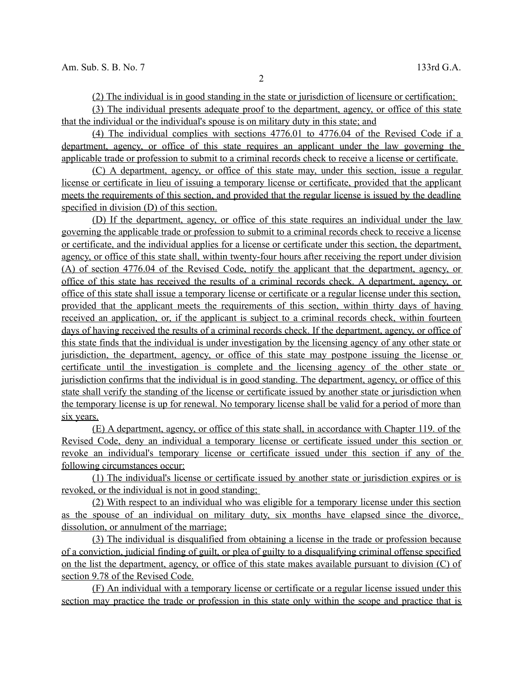(2) The individual is in good standing in the state or jurisdiction of licensure or certification;

 (3) The individual presents adequate proof to the department, agency, or office of this state that the individual or the individual's spouse is on military duty in this state ; and

 (4) The individual complies with sections 4776.01 to 4776.04 of the Revised Code if a department, agency, or office of this state requires an applicant under the law governing the applicable trade or profession to submit to a criminal records check to receive a license or certificate.

 (C) A department, agency, or office of this state may, under this section, issue a regular license or certificate in lieu of issuing a temporary license or certificate, provided that the applicant meets the requirements of this section, and provided that the regular license is issued by the deadline specified in division (D) of this section.

 (D) If the department, agency, or office of this state requires an individual under the law governing the applicable trade or profession to submit to a criminal records check to receive a license or certificate, and the individual applies for a license or certificate under this section, the department, agency, or office of this state shall, within twenty-four hours after receiving the report under division (A) of section 4776.04 of the Revised Code, notify the applicant that the department, agency, or office of this state has received the results of a criminal records check. A department, agency, or office of this state shall issue a temporary license or certificate or a regular license under this section, provided that the applicant meets the requirements of this section, within thirty days of having received an application, or, if the applicant is subject to a criminal records check, within fourteen days of having received the results of a criminal records check . If the department, agency, or office of this state finds that the individual is under investigation by the licensing agency of any other state or jurisdiction, the department, agency, or office of this state may postpone issuing the license or certificate until the investigation is complete and the licensing agency of the other state or jurisdiction confirms that the individual is in good standing. The department, agency, or office of this state shall verify the standing of the license or certificate issued by another state or jurisdiction when the temporary license is up for renewal. No temporary license shall be valid for a period of more than six years.

 (E) A department, agency, or office of this state shall, in accordance with Chapter 119. of the Revised Code, deny an individual a temporary license or certificate issued under this section or revoke an individual's temporary license or certificate issued under this section if any of the following circumstances occur:

 (1) The individual's license or certificate issued by another state or jurisdiction expires or is revoked, or the individual is not in good standing;

 (2) With respect to an individual who was eligible for a temporary license under this section as the spouse of an individual on military duty, six months have elapsed since the divorce, dissolution, or annulment of the marriage;

 (3) The individual is disqualified from obtaining a license in the trade or profession because of a conviction, judicial finding of guilt, or plea of guilty to a disqualifying criminal offense specified on the list the department, agency, or office of this state makes available pursuant to division (C) of section 9.78 of the Revised Code.

 (F) An individual with a temporary license or certificate or a regular license issued under this section may practice the trade or profession in this state only within the scope and practice that is

2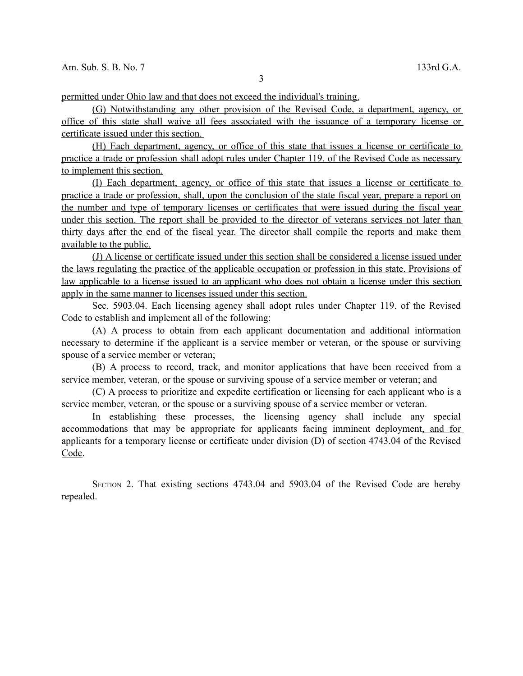permitted under Ohio law and that does not exceed the individual's training.

 (G) Notwithstanding any other provision of the Revised Code, a department, agency, or office of this state shall waive all fees associated with the issuance of a temporary license or certificate issued under this section.

 (H) Each department, agency, or office of this state that issues a license or certificate to practice a trade or profession shall adopt rules under Chapter 119. of the Revised Code as necessary to implement this section.

 (I) Each department, agency, or office of this state that issues a license or certificate to practice a trade or profession, shall, upon the conclusion of the state fiscal year, prepare a report on the number and type of temporary licenses or certificates that were issued during the fiscal year under this section. The report shall be provided to the director of veterans services not later than thirty days after the end of the fiscal year. The director shall compile the reports and make them available to the public.

 (J) A license or certificate issued under this section shall be considered a license issued under the laws regulating the practice of the applicable occupation or profession in this state. Provisions of law applicable to a license issued to an applicant who does not obtain a license under this section apply in the same manner to licenses issued under this section.

Sec. 5903.04. Each licensing agency shall adopt rules under Chapter 119. of the Revised Code to establish and implement all of the following:

(A) A process to obtain from each applicant documentation and additional information necessary to determine if the applicant is a service member or veteran, or the spouse or surviving spouse of a service member or veteran;

(B) A process to record, track, and monitor applications that have been received from a service member, veteran, or the spouse or surviving spouse of a service member or veteran; and

(C) A process to prioritize and expedite certification or licensing for each applicant who is a service member, veteran, or the spouse or a surviving spouse of a service member or veteran.

In establishing these processes, the licensing agency shall include any special accommodations that may be appropriate for applicants facing imminent deployment, and for applicants for a temporary license or certificate under division (D) of section 4743.04 of the Revised Code.

SECTION 2. That existing sections 4743.04 and 5903.04 of the Revised Code are hereby repealed.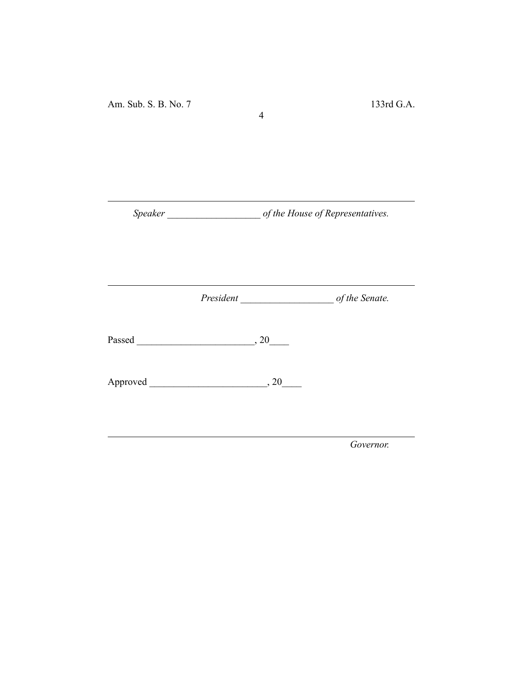*Speaker \_\_\_\_\_\_\_\_\_\_\_\_\_\_\_\_\_\_\_ of the House of Representatives.*

4

*President \_\_\_\_\_\_\_\_\_\_\_\_\_\_\_\_\_\_\_ of the Senate.*

Passed \_\_\_\_\_\_\_\_\_\_\_\_\_\_\_\_\_\_\_\_\_\_\_\_, 20\_\_\_\_

Approved \_\_\_\_\_\_\_\_\_\_\_\_\_\_\_\_\_\_\_\_\_\_\_\_, 20\_\_\_\_

*Governor.*